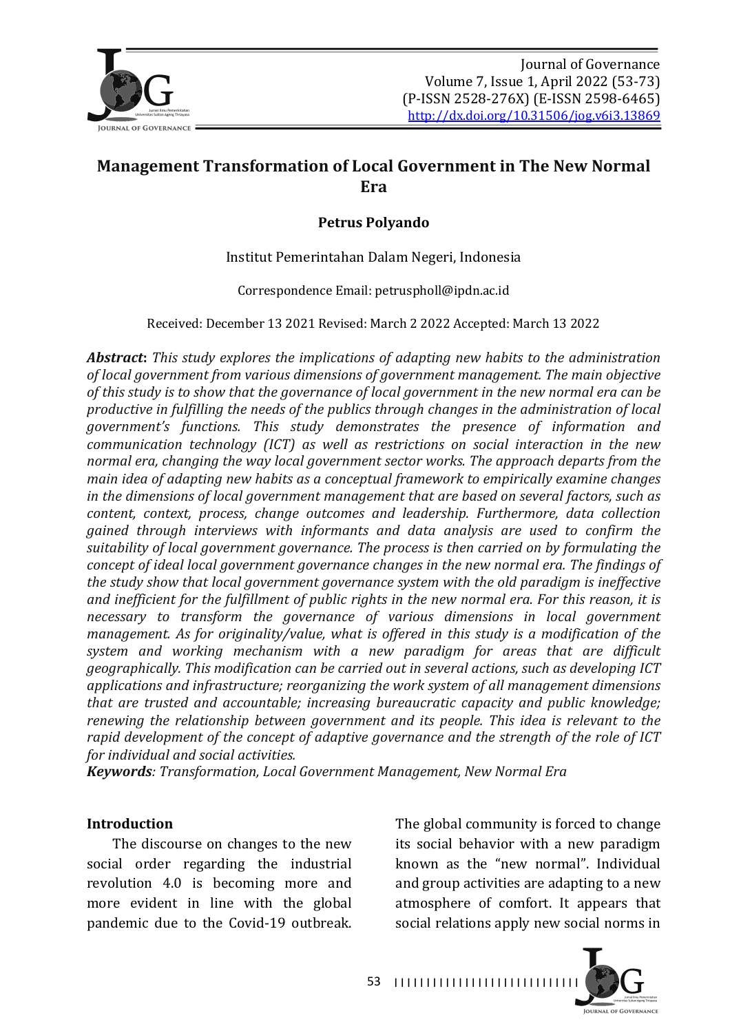

# **Management Transformation of Local Government in The New Normal Era**

#### **Petrus Polyando**

Institut Pemerintahan Dalam Negeri, Indonesia

Correspondence Email: petruspholl@ipdn.ac.id

Received: December 13 2021 Revised: March 2 2022 Accepted: March 13 2022

*Abstract: This study explores the implications of adapting new habits to the administration* of local government from various dimensions of government management. The main objective of this study is to show that the governance of local government in the new normal era can be *productive in fulfilling the needs of the publics through changes in the administration of local government's functions. This study demonstrates the presence of information and communication technology (ICT)* as well as restrictions on social interaction in the new *normal era, changing the way local government sector works. The approach departs from the main idea of adapting new habits as a conceptual framework to empirically examine changes in the dimensions of local government management that are based on several factors, such as* content, context, process, change outcomes and leadership. Furthermore, data collection *gained through interviews with informants and data analysis are used to confirm the*  suitability of local government governance. The process is then carried on by formulating the *concept of ideal local government governance changes in the new normal era. The findings of the study show that local government governance system with the old paradigm is ineffective* and inefficient for the fulfillment of public rights in the new normal era. For this reason, it is *necessary* to transform the governance of various dimensions in local government *management.* As for originality/value, what is offered in this study is a modification of the system and working mechanism with a new paradigm for areas that are difficult *geographically.* This modification can be carried out in several actions, such as developing ICT applications and infrastructure; reorganizing the work system of all management dimensions *that are trusted and accountable; increasing bureaucratic capacity and public knowledge; renewing* the relationship between government and its people. This idea is relevant to the *rapid development of the concept of adaptive governance and the strength of the role of ICT for individual and social activities.* 

*Keywords: Transformation, Local Government Management, New Normal Era*

#### **Introduction**

The discourse on changes to the new social order regarding the industrial revolution 4.0 is becoming more and more evident in line with the global pandemic due to the Covid-19 outbreak.

The global community is forced to change its social behavior with a new paradigm known as the "new normal". Individual and group activities are adapting to a new atmosphere of comfort. It appears that social relations apply new social norms in



53 | 1111111111111111111111111111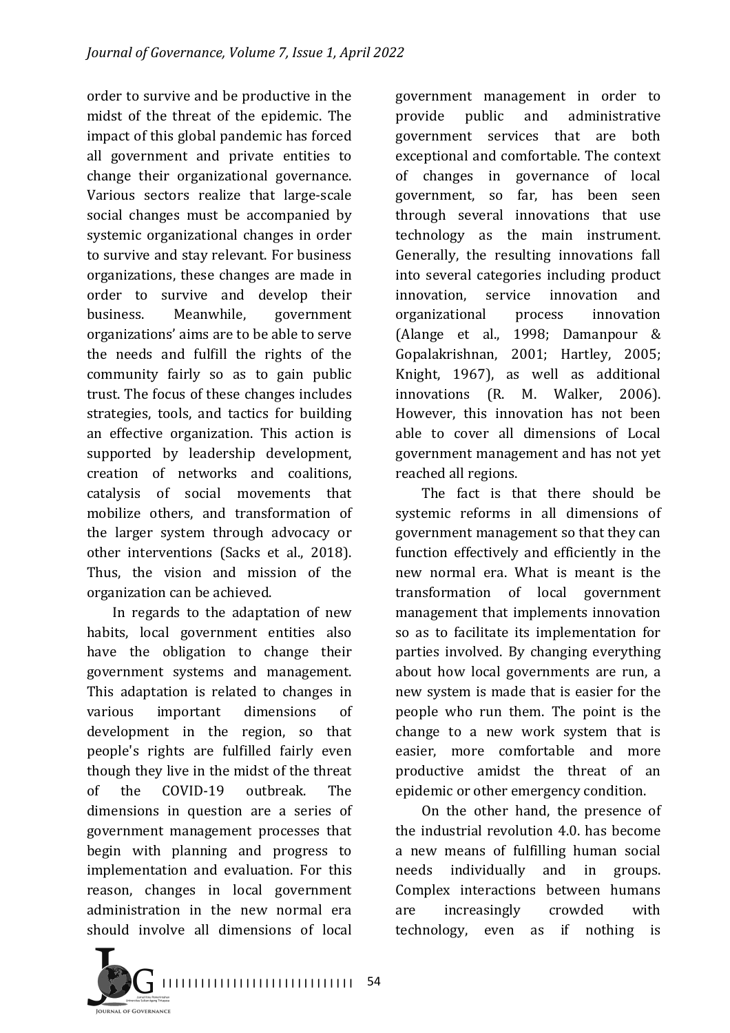order to survive and be productive in the midst of the threat of the epidemic. The impact of this global pandemic has forced all government and private entities to change their organizational governance. Various sectors realize that large-scale social changes must be accompanied by systemic organizational changes in order to survive and stay relevant. For business organizations, these changes are made in order to survive and develop their business. Meanwhile, government organizations' aims are to be able to serve the needs and fulfill the rights of the community fairly so as to gain public trust. The focus of these changes includes strategies, tools, and tactics for building an effective organization. This action is supported by leadership development, creation of networks and coalitions, catalysis of social movements that mobilize others, and transformation of the larger system through advocacy or other interventions (Sacks et al., 2018). Thus, the vision and mission of the organization can be achieved.

In regards to the adaptation of new habits, local government entities also have the obligation to change their government systems and management. This adaptation is related to changes in various important dimensions of development in the region, so that people's rights are fulfilled fairly even though they live in the midst of the threat of the COVID-19 outbreak. The dimensions in question are a series of government management processes that begin with planning and progress to implementation and evaluation. For this reason, changes in local government administration in the new normal era should involve all dimensions of local

government management in order to provide public and administrative government services that are both exceptional and comfortable. The context of changes in governance of local government, so far, has been seen through several innovations that use technology as the main instrument. Generally, the resulting innovations fall into several categories including product innovation, service innovation and organizational process innovation (Alange et al., 1998; Damanpour & Gopalakrishnan, 2001; Hartley, 2005; Knight, 1967), as well as additional innovations (R. M. Walker, 2006). However, this innovation has not been able to cover all dimensions of Local government management and has not vet reached all regions.

The fact is that there should be systemic reforms in all dimensions of government management so that they can function effectively and efficiently in the new normal era. What is meant is the transformation of local government management that implements innovation so as to facilitate its implementation for parties involved. By changing everything about how local governments are run, a new system is made that is easier for the people who run them. The point is the change to a new work system that is easier, more comfortable and more productive amidst the threat of an epidemic or other emergency condition.

On the other hand, the presence of the industrial revolution  $4.0$  has become a new means of fulfilling human social needs individually and in groups. Complex interactions between humans are increasingly crowded with technology, even as if nothing is

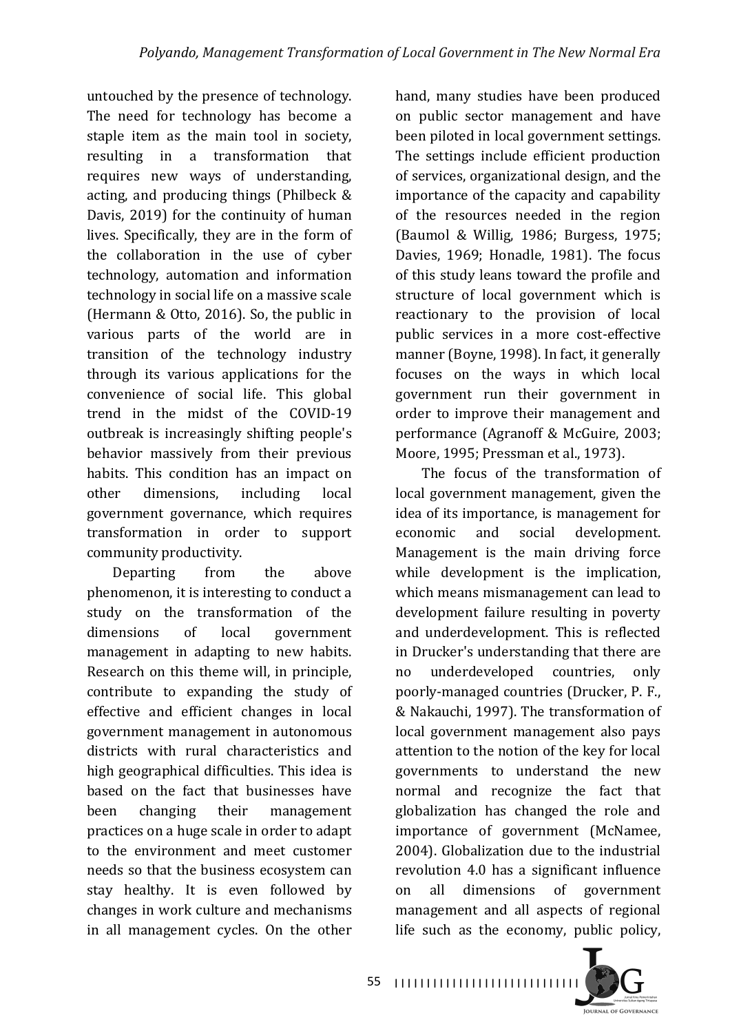untouched by the presence of technology. The need for technology has become a staple item as the main tool in society, resulting in a transformation that requires new ways of understanding, acting, and producing things (Philbeck  $&$ Davis, 2019) for the continuity of human lives. Specifically, they are in the form of the collaboration in the use of cyber technology, automation and information technology in social life on a massive scale (Hermann  $&$  Otto, 2016). So, the public in various parts of the world are in transition of the technology industry through its various applications for the convenience of social life. This global trend in the midst of the COVID-19 outbreak is increasingly shifting people's behavior massively from their previous habits. This condition has an impact on other dimensions, including local government governance, which requires transformation in order to support community productivity.

Departing from the above phenomenon, it is interesting to conduct a study on the transformation of the dimensions of local government management in adapting to new habits. Research on this theme will, in principle, contribute to expanding the study of effective and efficient changes in local government management in autonomous districts with rural characteristics and high geographical difficulties. This idea is based on the fact that businesses have been changing their management practices on a huge scale in order to adapt to the environment and meet customer needs so that the business ecosystem can stay healthy. It is even followed by changes in work culture and mechanisms in all management cycles. On the other

hand, many studies have been produced on public sector management and have been piloted in local government settings. The settings include efficient production of services, organizational design, and the importance of the capacity and capability of the resources needed in the region  $(Baumol & Willig, 1986; Burges, 1975;$ Davies, 1969; Honadle, 1981). The focus of this study leans toward the profile and structure of local government which is reactionary to the provision of local public services in a more cost-effective manner (Boyne, 1998). In fact, it generally focuses on the ways in which local government run their government in order to improve their management and performance (Agranoff & McGuire, 2003; Moore, 1995; Pressman et al., 1973).

The focus of the transformation of local government management, given the idea of its importance, is management for economic and social development. Management is the main driving force while development is the implication, which means mismanagement can lead to development failure resulting in poverty and underdevelopment. This is reflected in Drucker's understanding that there are no underdeveloped countries, only poorly-managed countries (Drucker, P. F., & Nakauchi, 1997). The transformation of local government management also pays attention to the notion of the key for local governments to understand the new normal and recognize the fact that globalization has changed the role and importance of government (McNamee, 2004). Globalization due to the industrial revolution 4.0 has a significant influence on all dimensions of government management and all aspects of regional life such as the economy, public policy,



55 | 1111111111111111111111111111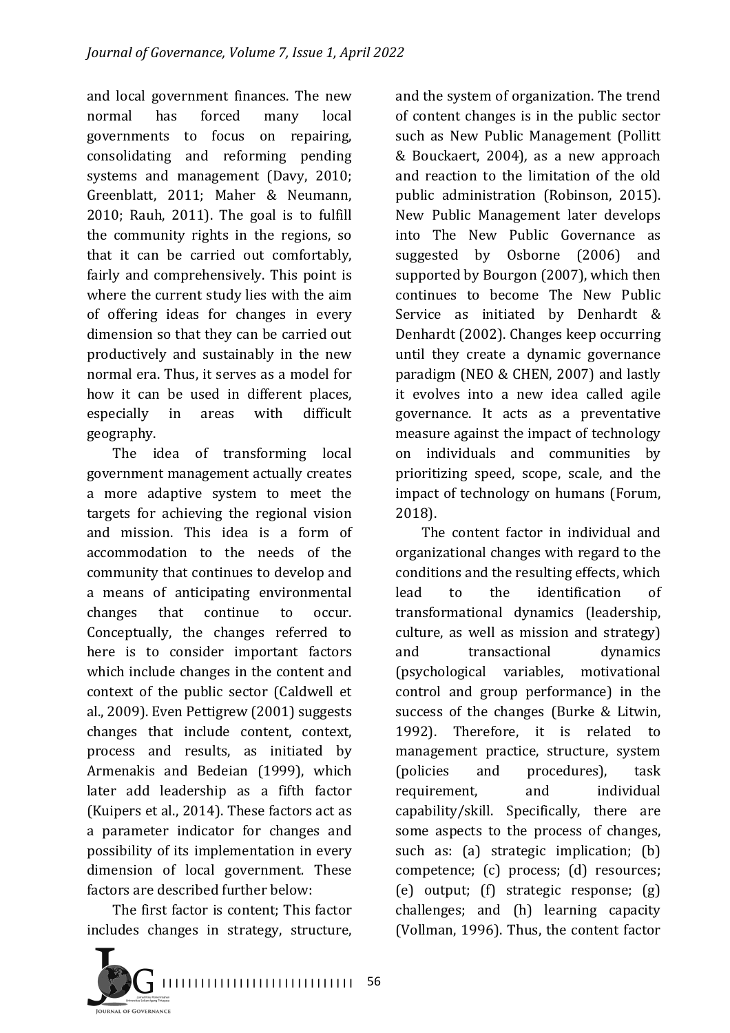and local government finances. The new normal has forced many local governments to focus on repairing, consolidating and reforming pending systems and management (Davy, 2010; Greenblatt, 2011; Maher & Neumann,  $2010$ ; Rauh,  $2011$ ). The goal is to fulfill the community rights in the regions, so that it can be carried out comfortably, fairly and comprehensively. This point is where the current study lies with the aim of offering ideas for changes in every dimension so that they can be carried out productively and sustainably in the new normal era. Thus, it serves as a model for how it can be used in different places, especially in areas with difficult geography.

The idea of transforming local government management actually creates a more adaptive system to meet the targets for achieving the regional vision and mission. This idea is a form of accommodation to the needs of the community that continues to develop and a means of anticipating environmental changes that continue to occur. Conceptually, the changes referred to here is to consider important factors which include changes in the content and context of the public sector (Caldwell et al., 2009). Even Pettigrew (2001) suggests changes that include content, context, process and results, as initiated by Armenakis and Bedeian (1999), which later add leadership as a fifth factor (Kuipers et al., 2014). These factors act as a parameter indicator for changes and possibility of its implementation in every dimension of local government*.* These factors are described further below:

The first factor is content; This factor includes changes in strategy, structure,



and the system of organization. The trend of content changes is in the public sector such as New Public Management (Pollitt) & Bouckaert, 2004)*,*  as a new approach and reaction to the limitation of the old public administration (Robinson, 2015). New Public Management later develops into The New Public Governance as suggested by Osborne (2006) and supported by Bourgon (2007), which then continues to become The New Public Service as initiated by Denhardt & Denhardt (2002). Changes keep occurring until they create a dynamic governance paradigm (NEO  $&$  CHEN, 2007) and lastly it evolves into a new idea called agile governance. It acts as a preventative measure against the impact of technology on individuals and communities by prioritizing speed, scope, scale, and the impact of technology on humans (Forum, 2018).

The content factor in individual and organizational changes with regard to the conditions and the resulting effects, which lead to the identification of transformational dynamics (leadership, culture, as well as mission and strategy) and transactional dynamics (psychological variables, motivational control and group performance) in the success of the changes (Burke  $&$  Litwin, 1992). Therefore, it is related to management practice, structure, system (policies and procedures), task requirement, and individual capability/skill. Specifically, there are some aspects to the process of changes, such as:  $(a)$  strategic implication;  $(b)$ competence; (c) process; (d) resources;  $(e)$  output;  $(f)$  strategic response;  $(g)$ challenges; and (h) learning capacity (Vollman, 1996). Thus, the content factor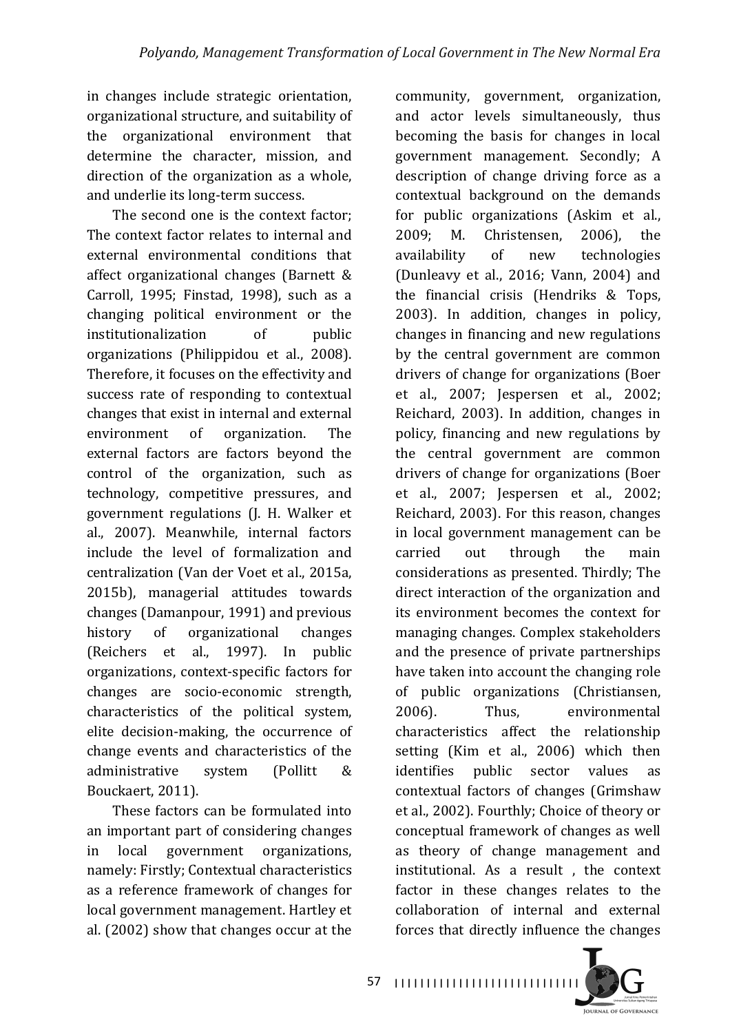in changes include strategic orientation, organizational structure, and suitability of the organizational environment that determine the character, mission, and direction of the organization as a whole, and underlie its long-term success.

The second one is the context factor: The context factor relates to internal and external environmental conditions that affect organizational changes (Barnett  $&$ Carroll, 1995; Finstad, 1998), such as a changing political environment or the institutionalization of public organizations (Philippidou et al., 2008). Therefore, it focuses on the effectivity and success rate of responding to contextual changes that exist in internal and external environment of organization. The external factors are factors beyond the control of the organization, such as technology, competitive pressures, and government regulations (J. H. Walker et al., 2007). Meanwhile, internal factors include the level of formalization and centralization (Van der Voet et al., 2015a, 2015b), managerial attitudes towards changes (Damanpour, 1991) and previous history of organizational changes (Reichers et al., 1997). In public organizations, context-specific factors for changes are socio-economic strength, characteristics of the political system, elite decision-making, the occurrence of change events and characteristics of the administrative system (Pollitt & Bouckaert, 2011).

These factors can be formulated into an important part of considering changes in local government organizations, namely: Firstly: Contextual characteristics as a reference framework of changes for local government management. Hartley et al. (2002) show that changes occur at the

community, government, organization, and actor levels simultaneously, thus becoming the basis for changes in local government management. Secondly; A description of change driving force as a contextual background on the demands for public organizations (Askim et al., 2009; M. Christensen, 2006), the availability of new technologies (Dunleavy et al., 2016; Vann, 2004) and the financial crisis (Hendriks  $&$  Tops, 2003). In addition, changes in policy, changes in financing and new regulations by the central government are common drivers of change for organizations (Boer et al., 2007; Jespersen et al., 2002; Reichard, 2003). In addition, changes in policy, financing and new regulations by the central government are common drivers of change for organizations (Boer et al., 2007; Jespersen et al., 2002; Reichard, 2003). For this reason, changes in local government management can be carried out through the main considerations as presented. Thirdly; The direct interaction of the organization and its environment becomes the context for managing changes. Complex stakeholders and the presence of private partnerships have taken into account the changing role of public organizations (Christiansen, 2006). Thus, environmental characteristics affect the relationship setting (Kim et al., 2006) which then identifies public sector values as contextual factors of changes (Grimshaw et al., 2002). Fourthly; Choice of theory or conceptual framework of changes as well as theory of change management and institutional. As a result, the context factor in these changes relates to the collaboration of internal and external forces that directly influence the changes



57 | 1111111111111111111111111111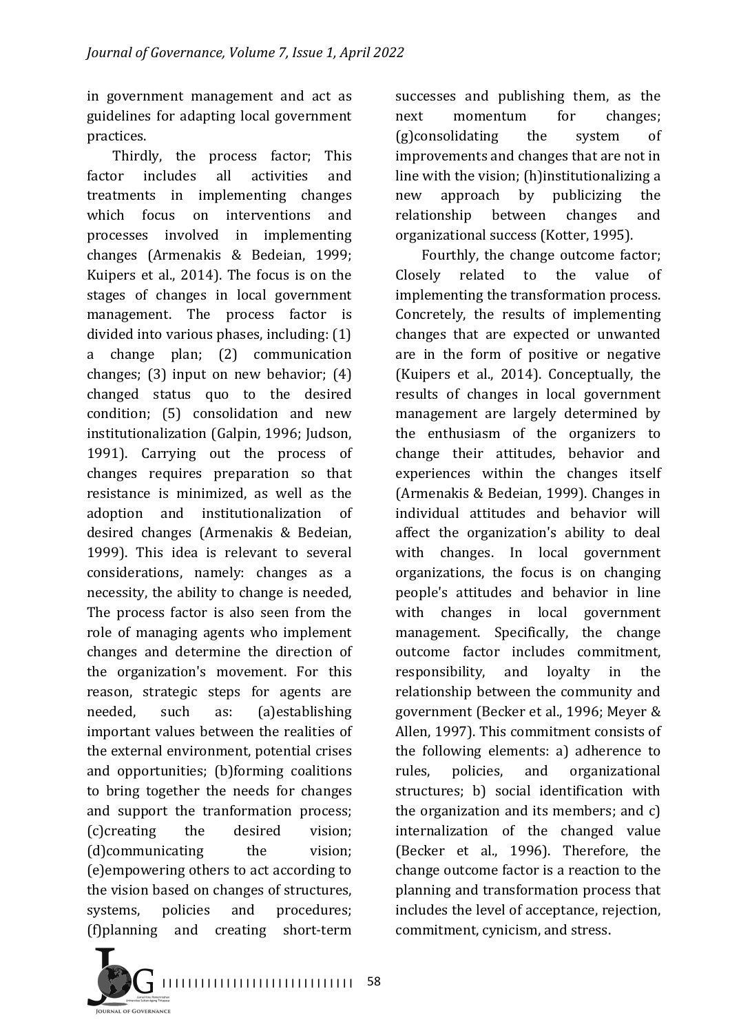in government management and act as guidelines for adapting local government practices.

Thirdly, the process factor; This factor includes all activities and treatments in implementing changes which focus on interventions and processes involved in implementing changes (Armenakis & Bedeian, 1999; Kuipers et al., 2014). The focus is on the stages of changes in local government management. The process factor is divided into various phases, including: (1) a change plan; (2) communication changes;  $(3)$  input on new behavior;  $(4)$ changed status quo to the desired condition; (5) consolidation and new institutionalization (Galpin, 1996; Judson, 1991). Carrying out the process of changes requires preparation so that resistance is minimized, as well as the adoption and institutionalization of desired changes (Armenakis & Bedeian, 1999). This idea is relevant to several considerations, namely: changes as a necessity, the ability to change is needed, The process factor is also seen from the role of managing agents who implement changes and determine the direction of the organization's movement. For this reason, strategic steps for agents are needed, such as: (a)establishing important values between the realities of the external environment, potential crises and opportunities; (b)forming coalitions to bring together the needs for changes and support the tranformation process; (c)creating the desired vision: (d)communicating the vision; (e)empowering others to act according to the vision based on changes of structures, systems, policies and procedures; (f)planning and creating short-term 

successes and publishing them, as the next momentum for changes;  $(g)$ consolidating the system of improvements and changes that are not in line with the vision; (h)institutionalizing a new approach by publicizing the relationship between changes and organizational success (Kotter, 1995).

Fourthly, the change outcome factor; Closely related to the value of implementing the transformation process. Concretely, the results of implementing changes that are expected or unwanted are in the form of positive or negative (Kuipers et al., 2014). Conceptually, the results of changes in local government management are largely determined by the enthusiasm of the organizers to change their attitudes, behavior and experiences within the changes itself (Armenakis & Bedeian, 1999). Changes in individual attitudes and behavior will affect the organization's ability to deal with changes. In local government organizations, the focus is on changing people's attitudes and behavior in line with changes in local government management. Specifically, the change outcome factor includes commitment. responsibility, and loyalty in the relationship between the community and government (Becker et al., 1996; Meyer & Allen, 1997). This commitment consists of the following elements: a) adherence to rules, policies, and organizational structures; b) social identification with the organization and its members; and  $c$ ) internalization of the changed value (Becker et al., 1996). Therefore, the change outcome factor is a reaction to the planning and transformation process that includes the level of acceptance, rejection, commitment, cynicism, and stress.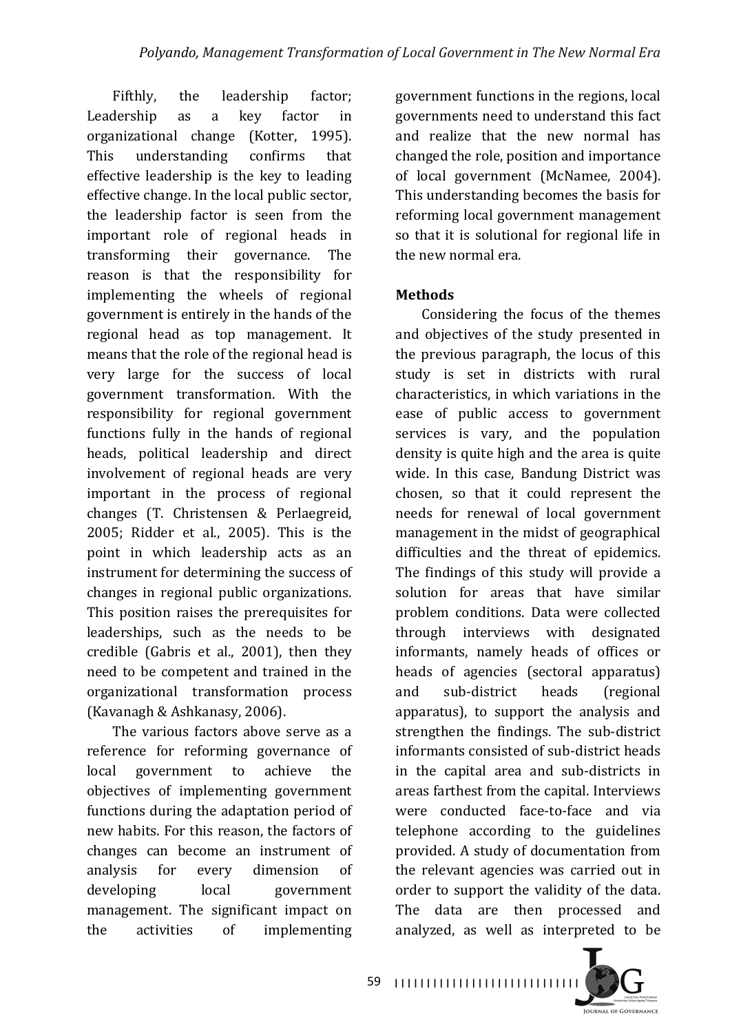Fifthly, the leadership factor; Leadership as a key factor in organizational change (Kotter, 1995). This understanding confirms that effective leadership is the key to leading effective change. In the local public sector, the leadership factor is seen from the important role of regional heads in transforming their governance. The reason is that the responsibility for implementing the wheels of regional government is entirely in the hands of the regional head as top management. It means that the role of the regional head is very large for the success of local government transformation. With the responsibility for regional government functions fully in the hands of regional heads, political leadership and direct involvement of regional heads are very important in the process of regional changes (T. Christensen & Perlaegreid,  $2005$ : Ridder et al.,  $2005$ ). This is the point in which leadership acts as an instrument for determining the success of changes in regional public organizations. This position raises the prerequisites for leaderships, such as the needs to be credible  $(Gabris et al., 2001)$ , then they need to be competent and trained in the organizational transformation process (Kavanagh & Ashkanasy, 2006).

The various factors above serve as a reference for reforming governance of local government to achieve the objectives of implementing government functions during the adaptation period of new habits. For this reason, the factors of changes can become an instrument of analysis for every dimension of developing local government management. The significant impact on the activities of implementing 

government functions in the regions, local governments need to understand this fact and realize that the new normal has changed the role, position and importance of local government (McNamee, 2004). This understanding becomes the basis for reforming local government management so that it is solutional for regional life in the new normal era.

#### **Methods**

Considering the focus of the themes and objectives of the study presented in the previous paragraph, the locus of this study is set in districts with rural characteristics, in which variations in the ease of public access to government services is vary, and the population density is quite high and the area is quite wide. In this case, Bandung District was chosen, so that it could represent the needs for renewal of local government management in the midst of geographical difficulties and the threat of epidemics. The findings of this study will provide a solution for areas that have similar problem conditions. Data were collected through interviews with designated informants, namely heads of offices or heads of agencies (sectoral apparatus) and sub-district heads (regional apparatus), to support the analysis and strengthen the findings. The sub-district informants consisted of sub-district heads in the capital area and sub-districts in areas farthest from the capital. Interviews were conducted face-to-face and via telephone according to the guidelines provided. A study of documentation from the relevant agencies was carried out in order to support the validity of the data. The data are then processed and analyzed, as well as interpreted to be

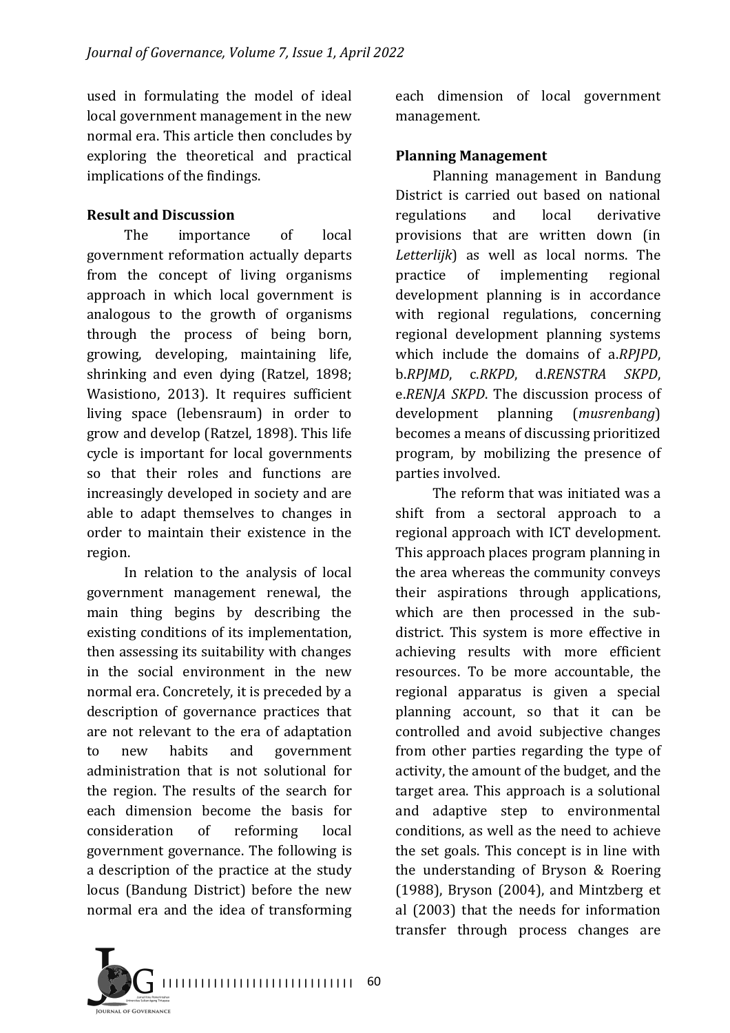used in formulating the model of ideal local government management in the new normal era. This article then concludes by exploring the theoretical and practical implications of the findings.

#### **Result and Discussion**

The importance of local government reformation actually departs from the concept of living organisms approach in which local government is analogous to the growth of organisms through the process of being born, growing, developing, maintaining life, shrinking and even dying (Ratzel, 1898; Wasistiono, 2013). It requires sufficient living space (lebensraum) in order to grow and develop (Ratzel, 1898). This life cycle is important for local governments so that their roles and functions are increasingly developed in society and are able to adapt themselves to changes in order to maintain their existence in the region.

In relation to the analysis of local government management renewal, the main thing begins by describing the existing conditions of its implementation, then assessing its suitability with changes in the social environment in the new normal era. Concretely, it is preceded by a description of governance practices that are not relevant to the era of adaptation to new habits and government administration that is not solutional for the region. The results of the search for each dimension become the basis for consideration of reforming local government governance. The following is a description of the practice at the study locus (Bandung District) before the new normal era and the idea of transforming

I I I I I I I I I I I I I I I I I I I I I I I I I I I I I I 60 **TRALLOR COVERNANCE** 

each dimension of local government management.

#### **Planning Management**

Planning management in Bandung District is carried out based on national regulations and local derivative provisions that are written down (in Letterlijk) as well as local norms. The practice of implementing regional development planning is in accordance with regional regulations, concerning regional development planning systems which include the domains of a.*RPJPD*, b.*RPJMD*, c.*RKPD*, d.*RENSTRA SKPD*, e.*RENJA SKPD*. The discussion process of development planning (*musrenbang*) becomes a means of discussing prioritized program, by mobilizing the presence of parties involved.

The reform that was initiated was a shift from a sectoral approach to a regional approach with ICT development. This approach places program planning in the area whereas the community conveys their aspirations through applications, which are then processed in the subdistrict. This system is more effective in achieving results with more efficient resources. To be more accountable, the regional apparatus is given a special planning account, so that it can be controlled and avoid subjective changes from other parties regarding the type of activity, the amount of the budget, and the target area. This approach is a solutional and adaptive step to environmental conditions, as well as the need to achieve the set goals. This concept is in line with the understanding of Bryson & Roering  $(1988)$ , Bryson  $(2004)$ , and Mintzberg et al (2003) that the needs for information transfer through process changes are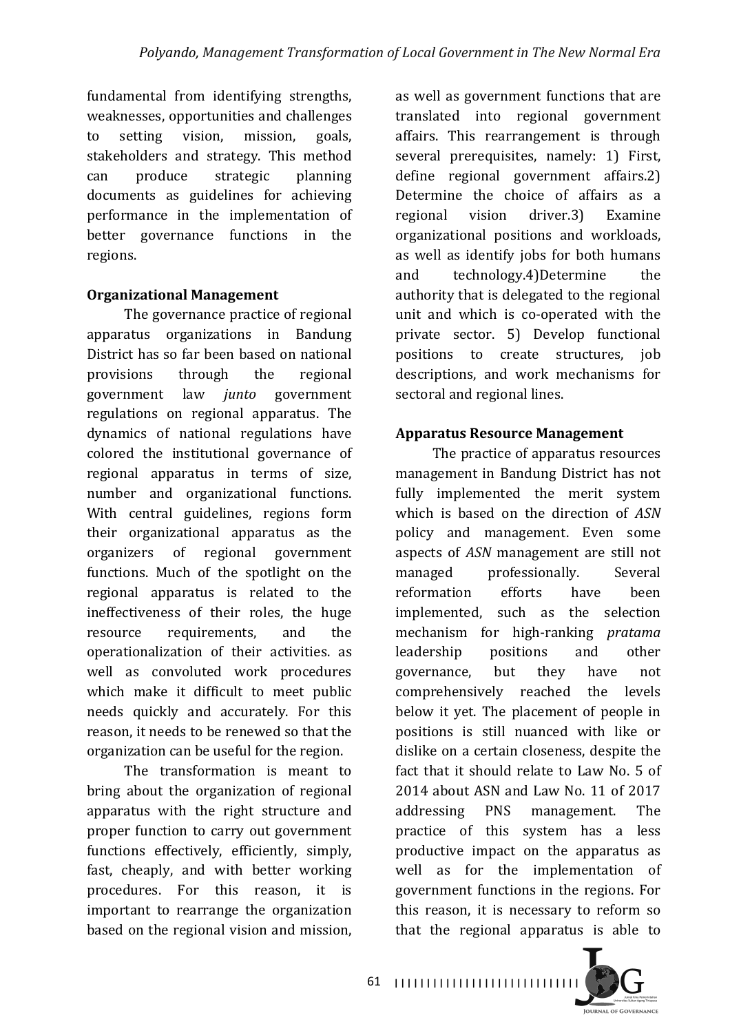fundamental from identifying strengths, weaknesses, opportunities and challenges to setting vision, mission, goals, stakeholders and strategy. This method can produce strategic planning documents as guidelines for achieving performance in the implementation of better governance functions in the regions.

### **Organizational Management**

The governance practice of regional apparatus organizations in Bandung District has so far been based on national provisions through the regional government law *junto* government regulations on regional apparatus. The dynamics of national regulations have colored the institutional governance of regional apparatus in terms of size, number and organizational functions. With central guidelines, regions form their organizational apparatus as the organizers of regional government functions. Much of the spotlight on the regional apparatus is related to the ineffectiveness of their roles, the huge resource requirements, and the operationalization of their activities. as well as convoluted work procedures which make it difficult to meet public needs quickly and accurately. For this reason, it needs to be renewed so that the organization can be useful for the region.

The transformation is meant to bring about the organization of regional apparatus with the right structure and proper function to carry out government functions effectively, efficiently, simply, fast, cheaply, and with better working procedures. For this reason, it is important to rearrange the organization based on the regional vision and mission.

as well as government functions that are translated into regional government affairs. This rearrangement is through several prerequisites, namely: 1) First, define regional government affairs.2) Determine the choice of affairs as a regional vision driver.3) Examine organizational positions and workloads, as well as identify jobs for both humans and technology.4)Determine the authority that is delegated to the regional unit and which is co-operated with the private sector. 5) Develop functional positions to create structures, job descriptions, and work mechanisms for sectoral and regional lines.

# **Apparatus Resource Management**

The practice of apparatus resources management in Bandung District has not fully implemented the merit system which is based on the direction of ASN policy and management. Even some aspects of *ASN* management are still not managed professionally. Several reformation efforts have been implemented, such as the selection mechanism for high-ranking *pratama* leadership positions and other governance, but they have not comprehensively reached the levels below it yet. The placement of people in positions is still nuanced with like or dislike on a certain closeness, despite the fact that it should relate to Law No. 5 of 2014 about ASN and Law No. 11 of 2017 addressing PNS management. The practice of this system has a less productive impact on the apparatus as well as for the implementation of government functions in the regions. For this reason, it is necessary to reform so that the regional apparatus is able to

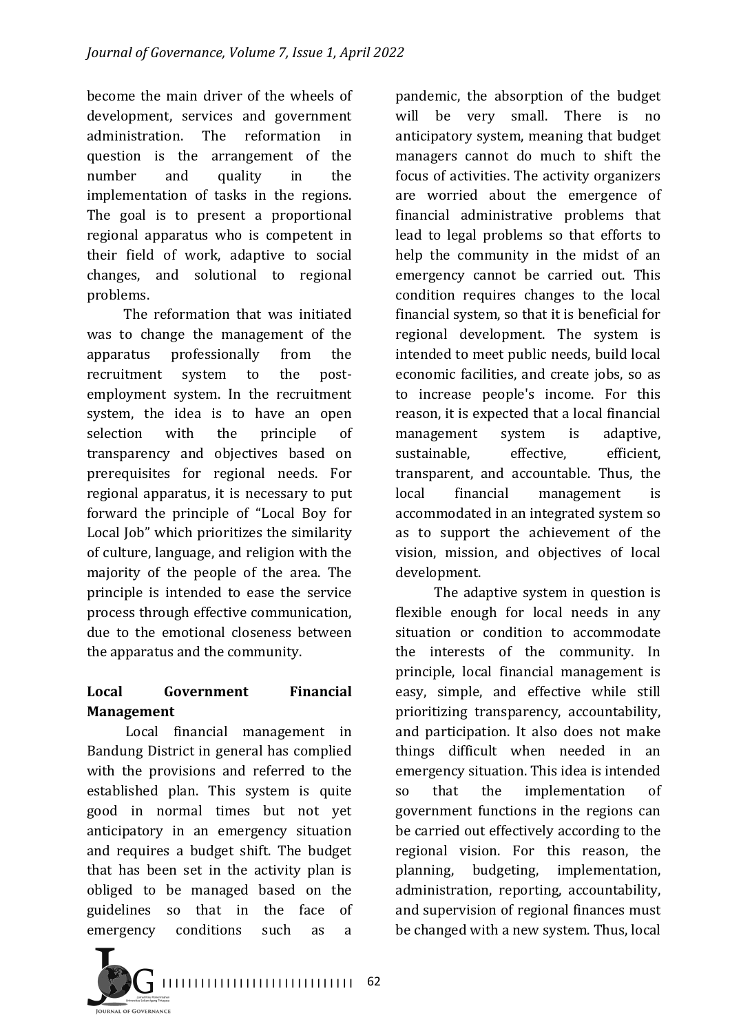become the main driver of the wheels of development, services and government administration. The reformation in question is the arrangement of the number and quality in the implementation of tasks in the regions. The goal is to present a proportional regional apparatus who is competent in their field of work, adaptive to social changes, and solutional to regional problems.

The reformation that was initiated was to change the management of the apparatus professionally from the recruitment system to the postemployment system. In the recruitment system, the idea is to have an open selection with the principle of transparency and objectives based on prerequisites for regional needs. For regional apparatus, it is necessary to put forward the principle of "Local Boy for Local Iob" which prioritizes the similarity of culture, language, and religion with the majority of the people of the area. The principle is intended to ease the service process through effective communication, due to the emotional closeness between the apparatus and the community.

# **Local Government Financial Management**

Local financial management in Bandung District in general has complied with the provisions and referred to the established plan. This system is quite good in normal times but not yet anticipatory in an emergency situation and requires a budget shift. The budget that has been set in the activity plan is obliged to be managed based on the guidelines so that in the face of emergency conditions such as a

pandemic, the absorption of the budget will be very small. There is no anticipatory system, meaning that budget managers cannot do much to shift the focus of activities. The activity organizers are worried about the emergence of financial administrative problems that lead to legal problems so that efforts to help the community in the midst of an emergency cannot be carried out. This condition requires changes to the local financial system, so that it is beneficial for regional development. The system is intended to meet public needs, build local economic facilities, and create jobs, so as to increase people's income. For this reason, it is expected that a local financial management system is adaptive, sustainable, effective, efficient, transparent, and accountable. Thus, the local financial management is accommodated in an integrated system so as to support the achievement of the vision, mission, and objectives of local development.

The adaptive system in question is flexible enough for local needs in any situation or condition to accommodate the interests of the community. In principle, local financial management is easy, simple, and effective while still prioritizing transparency, accountability, and participation. It also does not make things difficult when needed in an emergency situation. This idea is intended so that the implementation of government functions in the regions can be carried out effectively according to the regional vision. For this reason, the planning, budgeting, implementation, administration, reporting, accountability, and supervision of regional finances must be changed with a new system. Thus, local

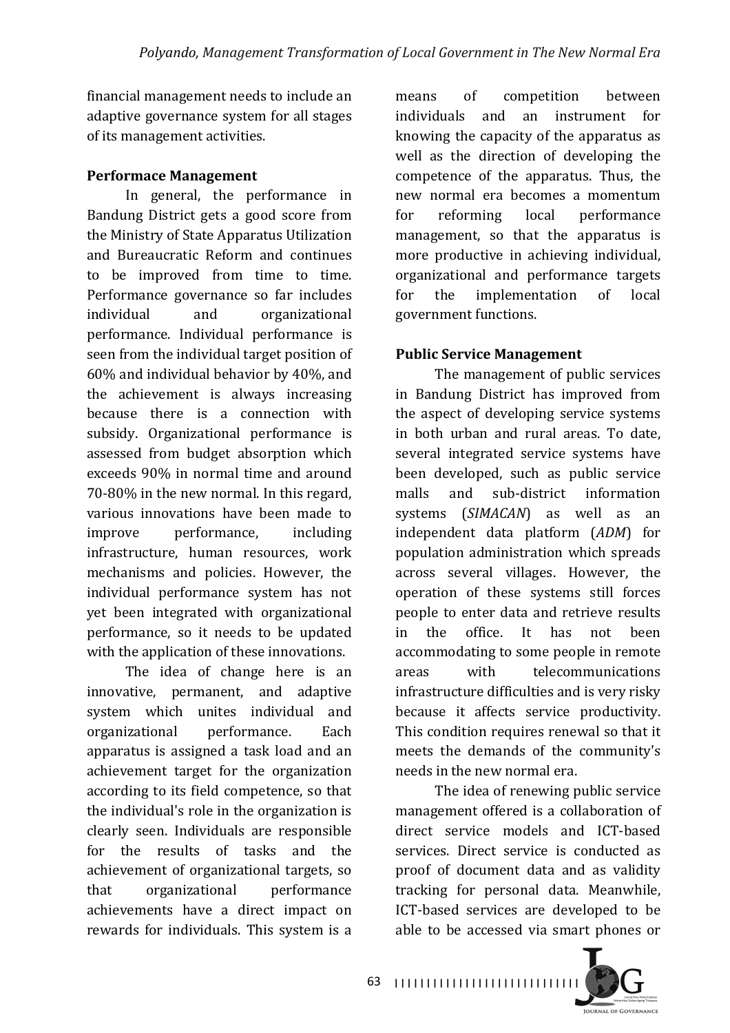financial management needs to include an adaptive governance system for all stages of its management activities.

#### **Performace Management**

In general, the performance in Bandung District gets a good score from the Ministry of State Apparatus Utilization and Bureaucratic Reform and continues to be improved from time to time. Performance governance so far includes individual and organizational performance. Individual performance is seen from the individual target position of  $60\%$  and individual behavior by  $40\%$ , and the achievement is always increasing because there is a connection with subsidy. Organizational performance is assessed from budget absorption which exceeds 90% in normal time and around 70-80% in the new normal. In this regard, various innovations have been made to improve performance, including infrastructure, human resources, work mechanisms and policies. However, the individual performance system has not yet been integrated with organizational performance, so it needs to be updated with the application of these innovations.

The idea of change here is an innovative, permanent, and adaptive system which unites individual and organizational performance. Each apparatus is assigned a task load and an achievement target for the organization according to its field competence, so that the individual's role in the organization is clearly seen. Individuals are responsible for the results of tasks and the achievement of organizational targets, so that organizational performance achievements have a direct impact on rewards for individuals. This system is a

means of competition between individuals and an instrument for knowing the capacity of the apparatus as well as the direction of developing the competence of the apparatus. Thus, the new normal era becomes a momentum for reforming local performance management, so that the apparatus is more productive in achieving individual, organizational and performance targets for the implementation of local government functions.

#### **Public Service Management**

The management of public services in Bandung District has improved from the aspect of developing service systems in both urban and rural areas. To date, several integrated service systems have been developed, such as public service malls and sub-district information systems (*SIMACAN*) as well as an independent data platform (*ADM*) for population administration which spreads across several villages. However, the operation of these systems still forces people to enter data and retrieve results in the office. It has not been accommodating to some people in remote areas with telecommunications infrastructure difficulties and is very risky because it affects service productivity. This condition requires renewal so that it meets the demands of the community's needs in the new normal era.

The idea of renewing public service management offered is a collaboration of direct service models and ICT-based services. Direct service is conducted as proof of document data and as validity tracking for personal data. Meanwhile, ICT-based services are developed to be able to be accessed via smart phones or

**JOURNAL OF GOVERNANCE**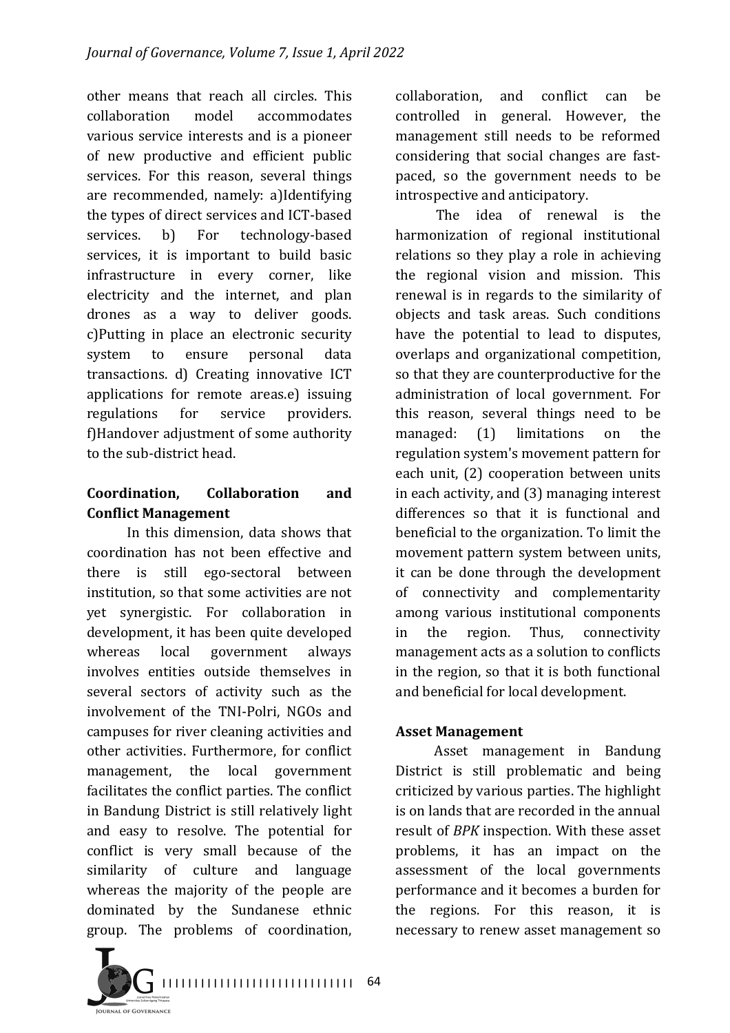other means that reach all circles. This collaboration model accommodates various service interests and is a pioneer of new productive and efficient public services. For this reason, several things are recommended, namely: a)Identifying the types of direct services and ICT-based services. b) For technology-based services, it is important to build basic infrastructure in every corner, like electricity and the internet, and plan drones as a way to deliver goods. c)Putting in place an electronic security system to ensure personal data transactions. d) Creating innovative ICT applications for remote areas.e) issuing regulations for service providers. f)Handover adjustment of some authority to the sub-district head.

## **Coordination, Collaboration and Conflict Management**

In this dimension, data shows that coordination has not been effective and there is still ego-sectoral between institution, so that some activities are not yet synergistic. For collaboration in development, it has been quite developed whereas local government always involves entities outside themselves in several sectors of activity such as the involvement of the TNI-Polri, NGOs and campuses for river cleaning activities and other activities. Furthermore, for conflict management, the local government facilitates the conflict parties. The conflict in Bandung District is still relatively light and easy to resolve. The potential for conflict is very small because of the similarity of culture and language whereas the majority of the people are dominated by the Sundanese ethnic group. The problems of coordination, 

collaboration, and conflict can be controlled in general. However, the management still needs to be reformed considering that social changes are fastpaced, so the government needs to be introspective and anticipatory.

The idea of renewal is the harmonization of regional institutional relations so they play a role in achieving the regional vision and mission. This renewal is in regards to the similarity of objects and task areas. Such conditions have the potential to lead to disputes, overlaps and organizational competition, so that they are counterproductive for the administration of local government. For this reason, several things need to be managed: (1) limitations on the regulation system's movement pattern for each unit, (2) cooperation between units in each activity, and (3) managing interest differences so that it is functional and beneficial to the organization. To limit the movement pattern system between units, it can be done through the development of connectivity and complementarity among various institutional components in the region. Thus, connectivity management acts as a solution to conflicts in the region, so that it is both functional and beneficial for local development.

#### **Asset Management**

Asset management in Bandung District is still problematic and being criticized by various parties. The highlight is on lands that are recorded in the annual result of *BPK* inspection. With these asset problems, it has an impact on the assessment of the local governments performance and it becomes a burden for the regions. For this reason, it is necessary to renew asset management so

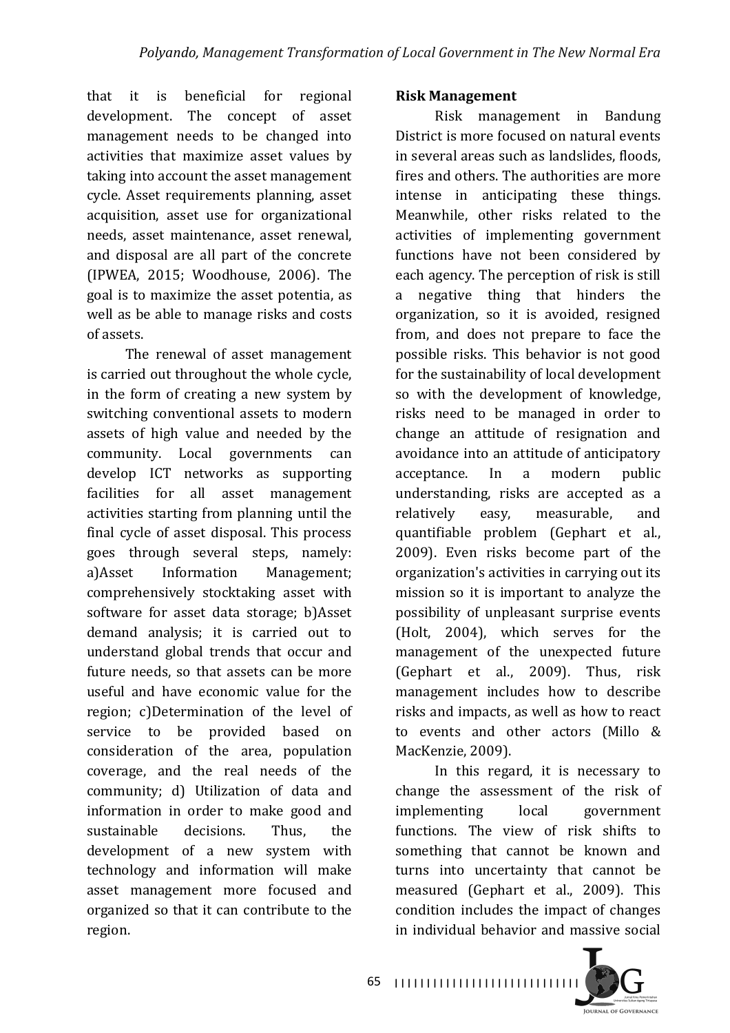that it is beneficial for regional development. The concept of asset management needs to be changed into activities that maximize asset values by taking into account the asset management cycle. Asset requirements planning, asset acquisition, asset use for organizational needs, asset maintenance, asset renewal, and disposal are all part of the concrete (IPWEA, 2015; Woodhouse, 2006). The goal is to maximize the asset potentia, as well as be able to manage risks and costs of assets.

The renewal of asset management is carried out throughout the whole cycle, in the form of creating a new system by switching conventional assets to modern assets of high value and needed by the community. Local governments can develop ICT networks as supporting facilities for all asset management activities starting from planning until the final cycle of asset disposal. This process goes through several steps, namely: a)Asset Information Management; comprehensively stocktaking asset with software for asset data storage; b)Asset demand analysis; it is carried out to understand global trends that occur and future needs, so that assets can be more useful and have economic value for the region; c)Determination of the level of service to be provided based on consideration of the area, population coverage, and the real needs of the community; d) Utilization of data and information in order to make good and sustainable decisions Thus the development of a new system with technology and information will make asset management more focused and organized so that it can contribute to the region.

#### **Risk Management**

Risk management in Bandung District is more focused on natural events in several areas such as landslides, floods, fires and others. The authorities are more intense in anticipating these things. Meanwhile, other risks related to the activities of implementing government functions have not been considered by each agency. The perception of risk is still a negative thing that hinders the organization, so it is avoided, resigned from, and does not prepare to face the possible risks. This behavior is not good for the sustainability of local development so with the development of knowledge, risks need to be managed in order to change an attitude of resignation and avoidance into an attitude of anticipatory acceptance. In a modern public understanding, risks are accepted as a relatively easy, measurable, and quantifiable problem (Gephart et al., 2009). Even risks become part of the organization's activities in carrying out its mission so it is important to analyze the possibility of unpleasant surprise events (Holt, 2004), which serves for the management of the unexpected future (Gephart et al., 2009). Thus, risk management includes how to describe risks and impacts, as well as how to react to events and other actors (Millo & MacKenzie, 2009).

In this regard, it is necessary to change the assessment of the risk of implementing local government functions. The view of risk shifts to something that cannot be known and turns into uncertainty that cannot be measured (Gephart et al., 2009). This condition includes the impact of changes in individual behavior and massive social

**JOURNAL OF GOVERNANCE**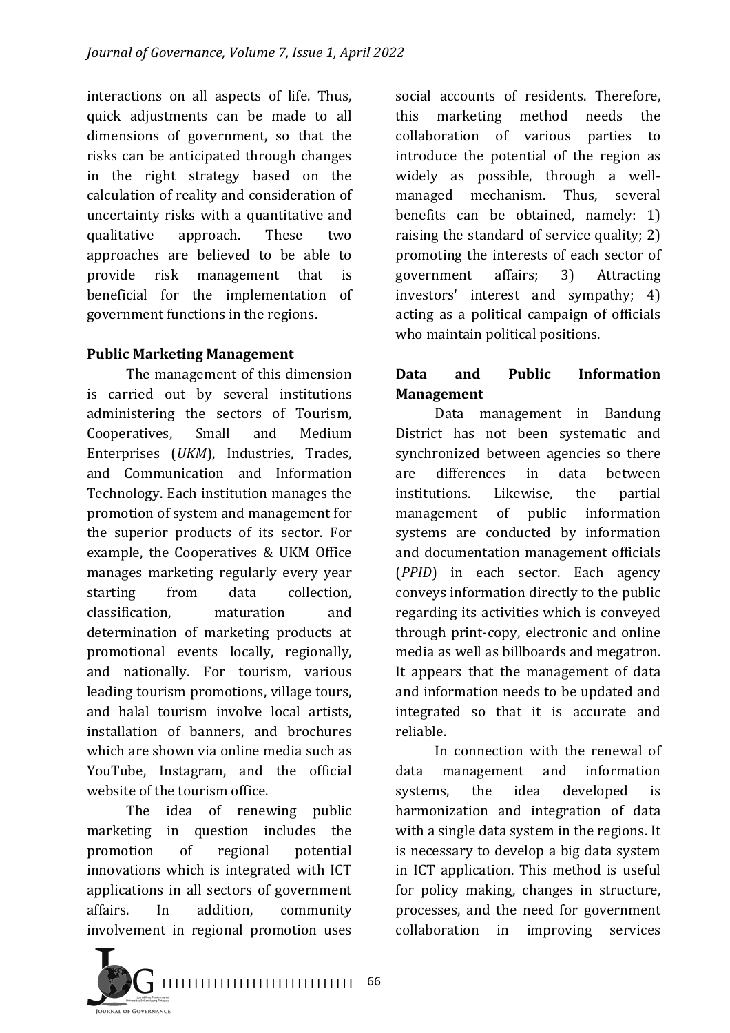interactions on all aspects of life. Thus, quick adjustments can be made to all dimensions of government, so that the risks can be anticipated through changes in the right strategy based on the calculation of reality and consideration of uncertainty risks with a quantitative and qualitative approach. These two approaches are believed to be able to provide risk management that is beneficial for the implementation of government functions in the regions.

### **Public Marketing Management**

The management of this dimension is carried out by several institutions administering the sectors of Tourism, Cooperatives, Small and Medium Enterprises (*UKM*), Industries, Trades, and Communication and Information Technology. Each institution manages the promotion of system and management for the superior products of its sector. For example, the Cooperatives & UKM Office manages marketing regularly every year starting from data collection. classification, maturation and determination of marketing products at promotional events locally, regionally, and nationally. For tourism, various leading tourism promotions, village tours, and halal tourism involve local artists, installation of banners, and brochures which are shown via online media such as YouTube, Instagram, and the official website of the tourism office.

The idea of renewing public marketing in question includes the promotion of regional potential innovations which is integrated with ICT applications in all sectors of government affairs. In addition, community involvement in regional promotion uses



# **Data and Public Information Management**

Data management in Bandung District has not been systematic and synchronized between agencies so there are differences in data between institutions. Likewise, the partial management of public information systems are conducted by information and documentation management officials (*PPID*) in each sector. Each agency conveys information directly to the public regarding its activities which is conveyed through print-copy, electronic and online media as well as billboards and megatron. It appears that the management of data and information needs to be updated and integrated so that it is accurate and reliable.

In connection with the renewal of data management and information systems, the idea developed is harmonization and integration of data with a single data system in the regions. It is necessary to develop a big data system in ICT application. This method is useful for policy making, changes in structure, processes, and the need for government collaboration in improving services 

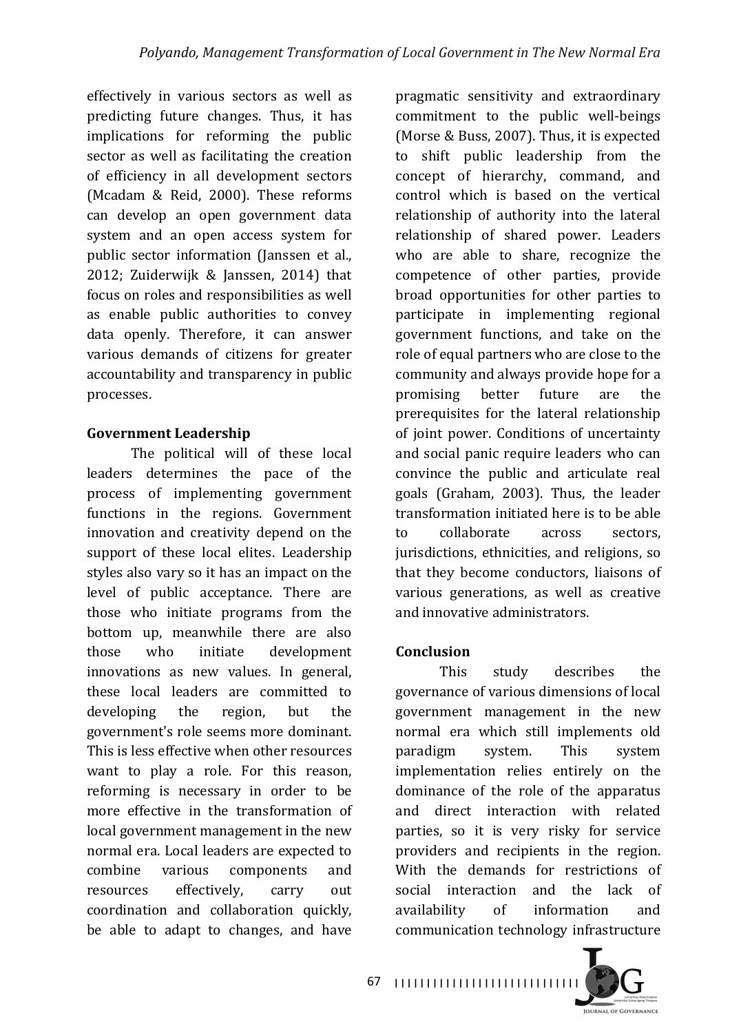effectively in various sectors as well as predicting future changes. Thus, it has implications for reforming the public sector as well as facilitating the creation of efficiency in all development sectors (Mcadam & Reid, 2000). These reforms can develop an open government data system and an open access system for public sector information (Janssen et al., 2012; Zuiderwijk & Janssen, 2014) that focus on roles and responsibilities as well as enable public authorities to convey data openly. Therefore, it can answer various demands of citizens for greater accountability and transparency in public processes.

### **Government Leadership**

The political will of these local leaders determines the pace of the process of implementing government functions in the regions. Government innovation and creativity depend on the support of these local elites. Leadership styles also vary so it has an impact on the level of public acceptance. There are those who initiate programs from the bottom up, meanwhile there are also those who initiate development innovations as new values. In general, these local leaders are committed to developing the region, but the government's role seems more dominant. This is less effective when other resources want to play a role. For this reason, reforming is necessary in order to be more effective in the transformation of local government management in the new normal era. Local leaders are expected to combine various components and resources effectively, carry out coordination and collaboration quickly, be able to adapt to changes, and have

pragmatic sensitivity and extraordinary commitment to the public well-beings (Morse & Buss, 2007). Thus, it is expected to shift public leadership from the concept of hierarchy, command, and control which is based on the vertical relationship of authority into the lateral relationship of shared power. Leaders who are able to share, recognize the competence of other parties, provide broad opportunities for other parties to participate in implementing regional government functions, and take on the role of equal partners who are close to the community and always provide hope for a promising better future are the prerequisites for the lateral relationship of joint power. Conditions of uncertainty and social panic require leaders who can convince the public and articulate real goals (Graham, 2003). Thus, the leader transformation initiated here is to be able to collaborate across sectors, jurisdictions, ethnicities, and religions, so that they become conductors, liaisons of various generations, as well as creative and innovative administrators.

# **Conclusion**

This study describes the governance of various dimensions of local government management in the new normal era which still implements old paradigm system. This system implementation relies entirely on the dominance of the role of the apparatus and direct interaction with related parties, so it is very risky for service providers and recipients in the region. With the demands for restrictions of social interaction and the lack of availability of information and communication technology infrastructure 

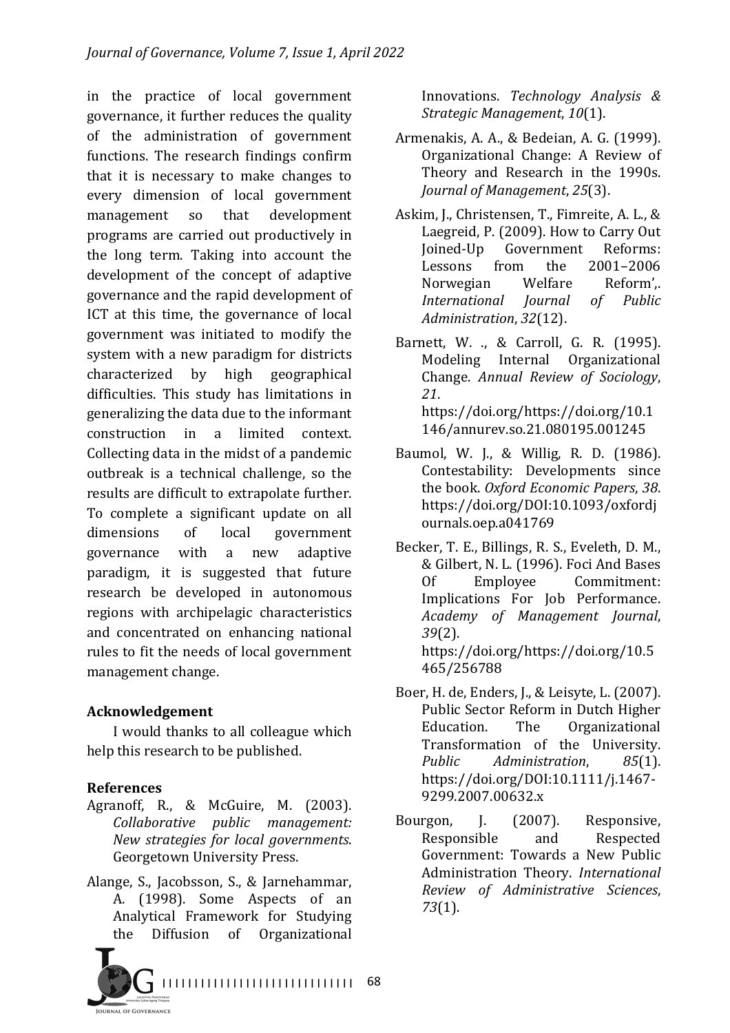in the practice of local government governance, it further reduces the quality of the administration of government functions. The research findings confirm that it is necessary to make changes to every dimension of local government management so that development programs are carried out productively in the long term. Taking into account the development of the concept of adaptive governance and the rapid development of ICT at this time, the governance of local government was initiated to modify the system with a new paradigm for districts characterized by high geographical difficulties. This study has limitations in generalizing the data due to the informant construction in a limited context. Collecting data in the midst of a pandemic outbreak is a technical challenge, so the results are difficult to extrapolate further. To complete a significant update on all dimensions of local government governance with a new adaptive paradigm, it is suggested that future research be developed in autonomous regions with archipelagic characteristics and concentrated on enhancing national rules to fit the needs of local government management change.

#### **Acknowledgement**

I would thanks to all colleague which help this research to be published.

#### **References**

- Agranoff, R., & McGuire, M. (2003). *Collaborative public management: New strategies for local governments*. Georgetown University Press.
- Alange, S., Jacobsson, S., & Jarnehammar, A. (1998). Some Aspects of an Analytical Framework for Studying the Diffusion of Organizational



Innovations. *Technology Analysis & Strategic Management*, *10*(1).

- Armenakis, A. A., & Bedeian, A. G. (1999). Organizational Change: A Review of Theory and Research in the 1990s. *Journal of Management, 25(3).*
- Askim, J., Christensen, T., Fimreite, A. L., & Laegreid, P. (2009). How to Carry Out Joined-Up Government Reforms: Lessons from the 2001–2006 Norwegian Welfare Reform', *International Journal of Public Administration*, *32*(12).

Barnett, W. ., & Carroll, G. R. (1995). Modeling Internal Organizational Change. *Annual Review of Sociology*, *21*. https://doi.org/https://doi.org/10.1 146/annurev.so.21.080195.001245

- Baumol, W. J., & Willig, R. D. (1986). Contestability: Developments since the book. Oxford Economic Papers, 38. https://doi.org/DOI:10.1093/oxfordj ournals.oep.a041769
- Becker, T. E., Billings, R. S., Eveleth, D. M., & Gilbert, N. L. (1996). Foci And Bases Of Employee Commitment: Implications For Job Performance. *Academy of Management Journal*, *39*(2). https://doi.org/https://doi.org/10.5 465/256788
- Boer, H. de, Enders, J., & Leisyte, L. (2007). Public Sector Reform in Dutch Higher Education. The Organizational Transformation of the University. *Public Administration*, *85*(1). https://doi.org/DOI:10.1111/j.1467- 9299.2007.00632.x
- Bourgon, J. (2007). Responsive, Responsible and Respected Government: Towards a New Public Administration Theory. *International Review of Administrative Sciences*, *73*(1).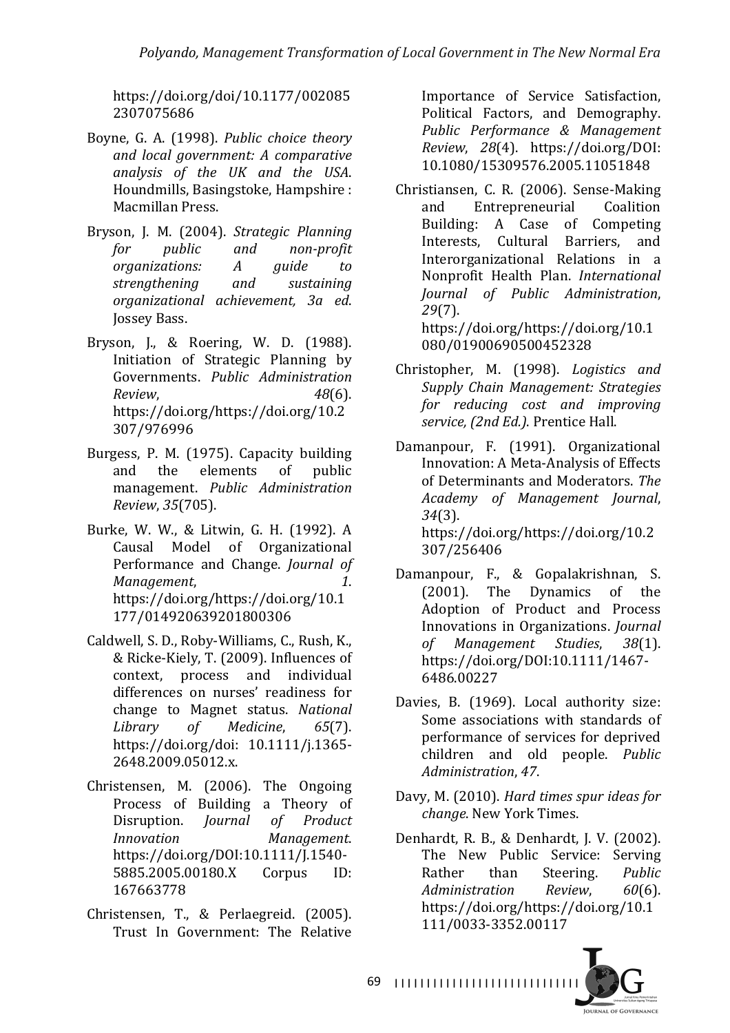https://doi.org/doi/10.1177/002085 2307075686

- Boyne, G. A. (1998). *Public choice theory and local government: A comparative analysis of the UK and the USA*. Houndmills, Basingstoke, Hampshire : Macmillan Press.
- Bryson, J. M. (2004). *Strategic Planning for public* and *non-profit organizations: A guide to strengthening and sustaining organizational achievement, 3a ed*. Jossey Bass.
- Bryson, J., & Roering, W. D. (1988). Initiation of Strategic Planning by Governments. *Public Administration Review*, *48*(6). https://doi.org/https://doi.org/10.2 307/976996
- Burgess, P. M. (1975). Capacity building and the elements of public management. *Public Administration Review*, *35*(705).
- Burke, W. W., & Litwin, G. H. (1992). A Causal Model of Organizational Performance and Change. *Journal of Management*, 2008. https://doi.org/https://doi.org/10.1 177/014920639201800306
- Caldwell, S. D., Roby-Williams, C., Rush, K., & Ricke-Kiely, T. (2009). Influences of context, process and individual differences on nurses' readiness for change to Magnet status. *National Library of Medicine*, *65*(7). https://doi.org/doi: 10.1111/j.1365- 2648.2009.05012.x.
- Christensen, M. (2006). The Ongoing Process of Building a Theory of Disruption. *Journal of Product Innovation Management*. https://doi.org/DOI:10.1111/J.1540- 5885.2005.00180.X Corpus ID: 167663778
- Christensen, T., & Perlaegreid. (2005). Trust In Government: The Relative

Importance of Service Satisfaction, Political Factors, and Demography. *Public Performance & Management Review*, *28*(4). https://doi.org/DOI: 10.1080/15309576.2005.11051848

- Christiansen, C. R. (2006). Sense-Making and Entrepreneurial Coalition Building: A Case of Competing Interests, Cultural Barriers, and Interorganizational Relations in a Nonprofit Health Plan. *International Journal of Public Administration*, *29*(7). https://doi.org/https://doi.org/10.1 080/01900690500452328
- Christopher, M. (1998). *Logistics and Supply Chain Management: Strategies for reducing cost and improving*  service, (2nd Ed.). Prentice Hall.
- Damanpour, F. (1991). Organizational Innovation: A Meta-Analysis of Effects of Determinants and Moderators. The *Academy of Management Journal*, *34*(3). https://doi.org/https://doi.org/10.2 307/256406
- Damanpour, F., & Gopalakrishnan, S. (2001). The Dynamics of the Adoption of Product and Process Innovations in Organizations. *Journal of Management Studies*, *38*(1). https://doi.org/DOI:10.1111/1467- 6486.00227
- Davies, B. (1969). Local authority size: Some associations with standards of performance of services for deprived children and old people. *Public Administration*, *47*.
- Davy, M. (2010). *Hard times spur ideas for change*. New York Times.
- Denhardt, R. B., & Denhardt, J. V. (2002). The New Public Service: Serving Rather than Steering. *Public Administration Review*, *60*(6). https://doi.org/https://doi.org/10.1 111/0033-3352.00117

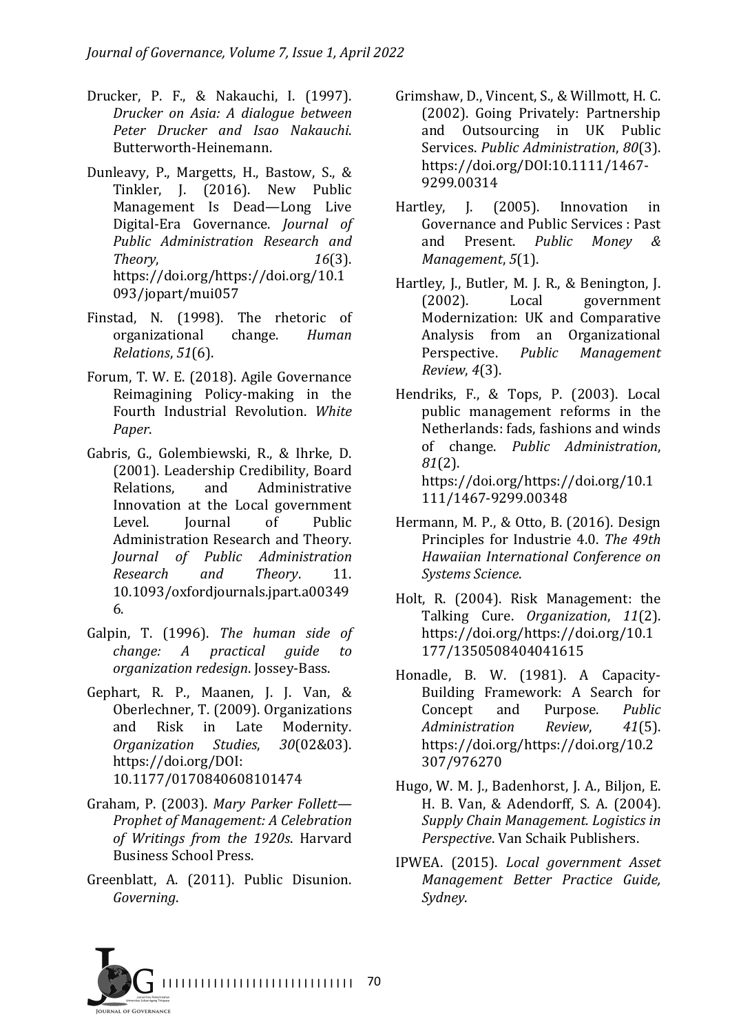- Drucker, P. F., & Nakauchi, I. (1997). *Drucker on Asia: A dialogue between Peter Drucker and Isao Nakauchi*. Butterworth-Heinemann.
- Dunleavy, P., Margetts, H., Bastow, S., & Tinkler, J. (2016). New Public Management Is Dead—Long Live Digital-Era Governance. *Journal of Public Administration Research and Theory*, *16*(3). https://doi.org/https://doi.org/10.1 093/jopart/mui057
- Finstad, N. (1998). The rhetoric of organizational change. *Human Relations*, *51*(6).
- Forum, T. W. E. (2018). Agile Governance Reimagining Policy-making in the Fourth Industrial Revolution. White *Paper*.
- Gabris, G., Golembiewski, R., & Ihrke, D. (2001). Leadership Credibility, Board Relations, and Administrative Innovation at the Local government Level. Iournal of Public Administration Research and Theory. *Journal of Public Administration Research and Theory*. 11. 10.1093/oxfordjournals.jpart.a00349 6.
- Galpin, T. (1996). The human side of *change: A practical guide to organization redesign*. Jossey-Bass.
- Gephart, R. P., Maanen, J. J. Van, & Oberlechner, T. (2009). Organizations and Risk in Late Modernity. *Organization Studies*, *30*(02&03). https://doi.org/DOI: 10.1177/0170840608101474
- Graham, P. (2003). Mary Parker Follett-*Prophet of Management: A Celebration of Writings from the 1920s*. Harvard Business School Press.
- Greenblatt, A. (2011). Public Disunion. *Governing*.
- Grimshaw, D., Vincent, S., & Willmott, H. C. (2002). Going Privately: Partnership and Outsourcing in UK Public Services. *Public Administration*,  $80(3)$ . https://doi.org/DOI:10.1111/1467- 9299.00314
- Hartley, J. (2005). Innovation in Governance and Public Services : Past and Present. *Public Money & Management*, 5(1).
- Hartley, J., Butler, M. J. R., & Benington, J. (2002). Local government Modernization: UK and Comparative Analysis from an Organizational Perspective. Public Management *Review*, *4*(3).
- Hendriks, F., & Tops, P. (2003). Local public management reforms in the Netherlands: fads, fashions and winds of change. *Public Administration*, *81*(2). https://doi.org/https://doi.org/10.1 111/1467-9299.00348
- Hermann, M. P., & Otto, B. (2016). Design Principles for Industrie 4.0. *The 49th Hawaiian International Conference on Systems Science*.
- Holt, R. (2004). Risk Management: the Talking Cure. *Organization*, *11*(2). https://doi.org/https://doi.org/10.1 177/1350508404041615
- Honadle, B. W. (1981). A Capacity-Building Framework: A Search for Concept and Purpose. *Public Administration Review*, *41*(5). https://doi.org/https://doi.org/10.2 307/976270
- Hugo, W. M. J., Badenhorst, J. A., Biljon, E. H. B. Van, & Adendorff, S. A. (2004). **Supply Chain Management.** Logistics in *Perspective*. Van Schaik Publishers.
- IPWEA. (2015). *Local government Asset Management Better Practice Guide, Sydney*.

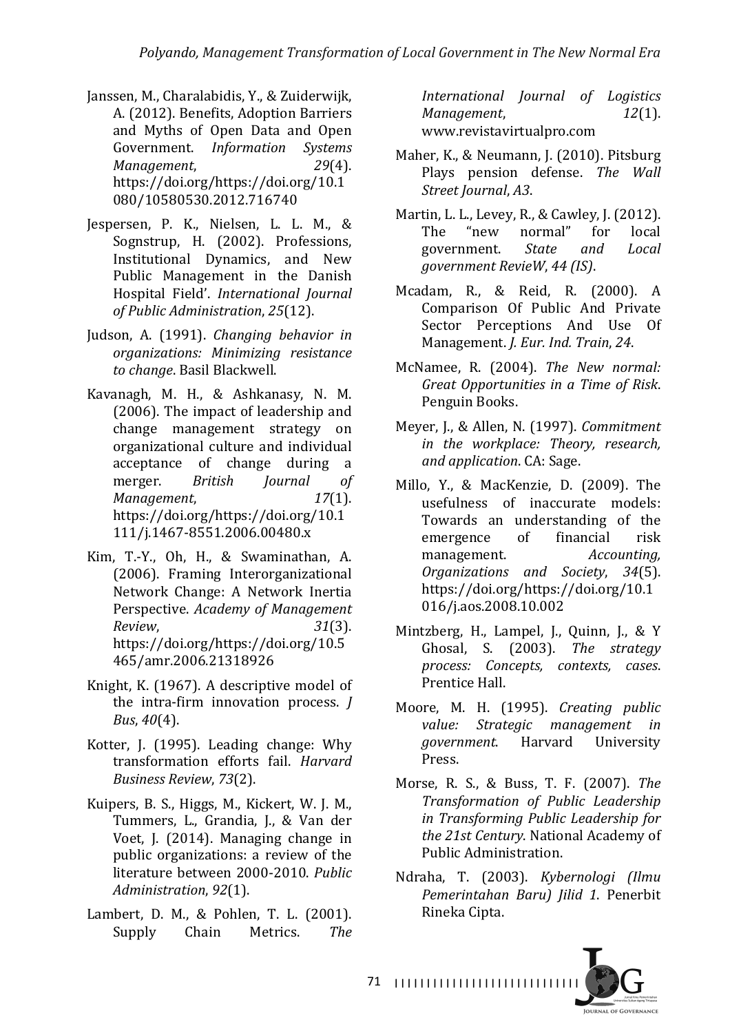- Janssen, M., Charalabidis, Y., & Zuiderwijk, A. (2012). Benefits, Adoption Barriers and Myths of Open Data and Open Government. *Information Systems Management*, 29(4). https://doi.org/https://doi.org/10.1 080/10580530.2012.716740
- Jespersen, P. K., Nielsen, L. L. M., & Sognstrup, H. (2002). Professions, Institutional Dynamics, and New Public Management in the Danish Hospital Field'. *International Journal of Public Administration*, *25*(12).
- Judson, A. (1991). *Changing behavior in organizations: Minimizing resistance to change*. Basil Blackwell.
- Kavanagh, M. H., & Ashkanasy, N. M.  $(2006)$ . The impact of leadership and change management strategy on organizational culture and individual acceptance of change during a merger. *British Journal of Management*, *17*(1). https://doi.org/https://doi.org/10.1 111/j.1467-8551.2006.00480.x
- Kim, T.-Y., Oh, H., & Swaminathan, A. (2006). Framing Interorganizational Network Change: A Network Inertia Perspective. *Academy of Management Review*, *31*(3). https://doi.org/https://doi.org/10.5 465/amr.2006.21318926
- Knight, K. (1967). A descriptive model of the intra-firm innovation process. *J Bus, 40*(4).
- Kotter, J. (1995). Leading change: Why transformation efforts fail. *Harvard Business Review*, *73*(2).
- Kuipers, B. S., Higgs, M., Kickert, W. J. M., Tummers, L., Grandia, J., & Van der Voet, J. (2014). Managing change in public organizations: a review of the literature between 2000-2010. Public *Administration*, *92*(1).
- Lambert, D. M., & Pohlen, T. L. (2001). Supply Chain Metrics. *The*

*International Journal of Logistics Management*, 22(1). www.revistavirtualpro.com

- Maher, K., & Neumann, J. (2010). Pitsburg Plays pension defense. The Wall *Street Journal*, *A3*.
- Martin, L. L., Levey, R., & Cawley, J. (2012). The "new normal" for local government. *State and Local government RevieW*, *44 (IS)*.
- Mcadam, R., & Reid, R. (2000). A Comparison Of Public And Private Sector Perceptions And Use Of Management. *J. Eur. Ind. Train*, 24.
- McNamee, R. (2004). *The New normal: Great Opportunities in a Time of Risk*. Penguin Books.
- Meyer, J., & Allen, N. (1997). *Commitment in* the workplace: Theory, research, *and application*. CA: Sage.
- Millo, Y., & MacKenzie, D. (2009). The usefulness of inaccurate models: Towards an understanding of the emergence of financial risk management. Accounting, *Organizations and Society*, *34*(5). https://doi.org/https://doi.org/10.1 016/j.aos.2008.10.002
- Mintzberg, H., Lampel, J., Quinn, J., & Y Ghosal, S. (2003). *The strategy process: Concepts, contexts, cases*. Prentice Hall.
- Moore, M. H. (1995). *Creating public value: Strategic management in government*. Harvard University Press.
- Morse, R. S., & Buss, T. F. (2007). *The Transformation of Public Leadership in Transforming Public Leadership for*  the 21st Century. National Academy of Public Administration.
- Ndraha, T. (2003). *Kybernologi (Ilmu Pemerintahan Baru) Jilid 1*. Penerbit Rineka Cipta.

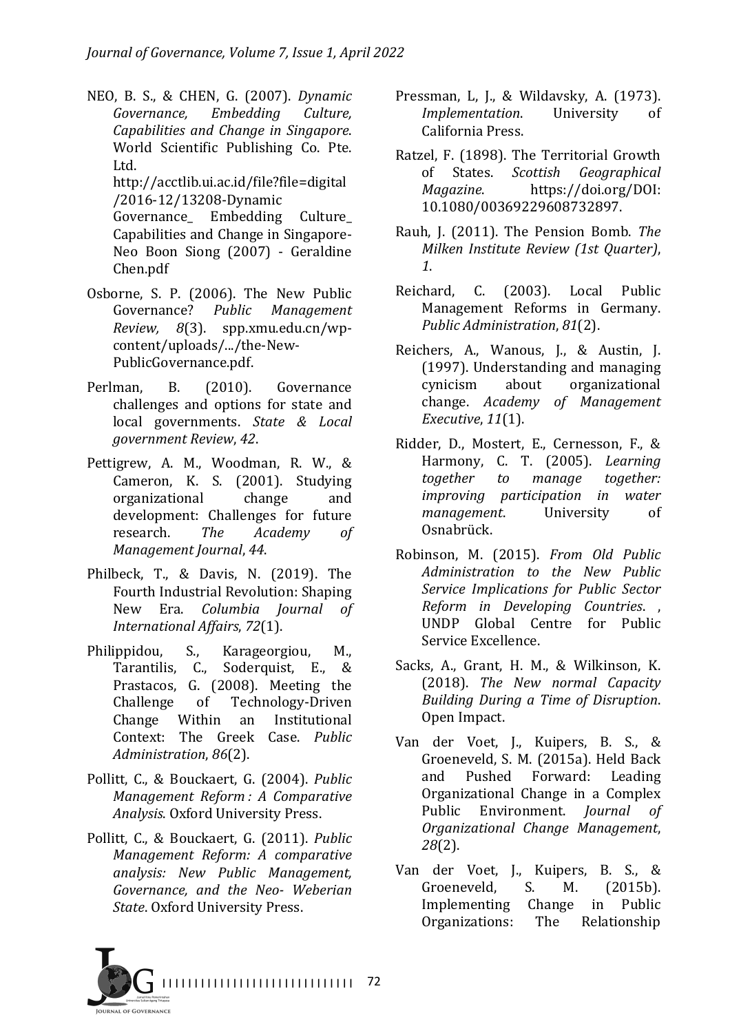- NEO, B. S., & CHEN, G. (2007). *Dynamic Governance, Embedding Culture, Capabilities and Change in Singapore*. World Scientific Publishing Co. Pte. Ltd. http://acctlib.ui.ac.id/file?file=digital /2016-12/13208-Dynamic Governance Embedding Culture Capabilities and Change in Singapore-Neo Boon Siong (2007) - Geraldine Chen.pdf
- Osborne, S. P. (2006). The New Public Governance? *Public Management Review, 8*(3). spp.xmu.edu.cn/wpcontent/uploads/.../the-New-PublicGovernance.pdf.
- Perlman, B. (2010). Governance challenges and options for state and local governments. State & Local *government Review*, *42*.
- Pettigrew, A. M., Woodman, R. W., & Cameron, K. S. (2001). Studying organizational change and development: Challenges for future research. *The Academy of Management Journal*, *44*.
- Philbeck, T., & Davis, N. (2019). The Fourth Industrial Revolution: Shaping New Era. *Columbia Journal of International Affairs*, *72*(1).
- Philippidou, S., Karageorgiou, M., Tarantilis, C., Soderquist, E., & Prastacos, G. (2008). Meeting the Challenge of Technology-Driven Change Within an Institutional Context: The Greek Case. Public *Administration*, *86*(2).
- Pollitt, C., & Bouckaert, G. (2004). *Public Management Reform : A Comparative Analysis*. Oxford University Press.
- Pollitt, C., & Bouckaert, G. (2011). *Public Management Reform: A comparative analysis: New Public Management, Governance, and the Neo- Weberian*  **State.** Oxford University Press.
- Pressman, L, J., & Wildavsky, A. (1973). *Implementation.* University of California Press.
- Ratzel, F. (1898). The Territorial Growth of States. *Scottish Geographical Magazine*. https://doi.org/DOI: 10.1080/00369229608732897.
- Rauh, J. (2011). The Pension Bomb. The *Milken Institute Review (1st Quarter)*, *1*.
- Reichard, C. (2003). Local Public Management Reforms in Germany. *Public Administration, 81(2).*
- Reichers, A., Wanous, J., & Austin, J. (1997). Understanding and managing cynicism about organizational change. *Academy* of *Management Executive*, *11*(1).
- Ridder, D., Mostert, E., Cernesson, F., & Harmony, C. T. (2005). *Learning together to* manage *together: improving participation in water management.* University of Osnabrück.
- Robinson, M. (2015). *From Old Public Administration to the New Public Service Implications for Public Sector Reform in Developing Countries*. , UNDP Global Centre for Public Service Excellence.
- Sacks, A., Grant, H. M., & Wilkinson, K. (2018). *The New normal Capacity Building During a Time of Disruption*. Open Impact.
- Van der Voet, J., Kuipers, B. S., & Groeneveld, S. M. (2015a). Held Back and Pushed Forward: Leading Organizational Change in a Complex Public Environment. *Journal of Organizational Change Management*, *28*(2).
- Van der Voet, J., Kuipers, B. S., & Groeneveld, S. M. (2015b). Implementing Change in Public Organizations: The Relationship